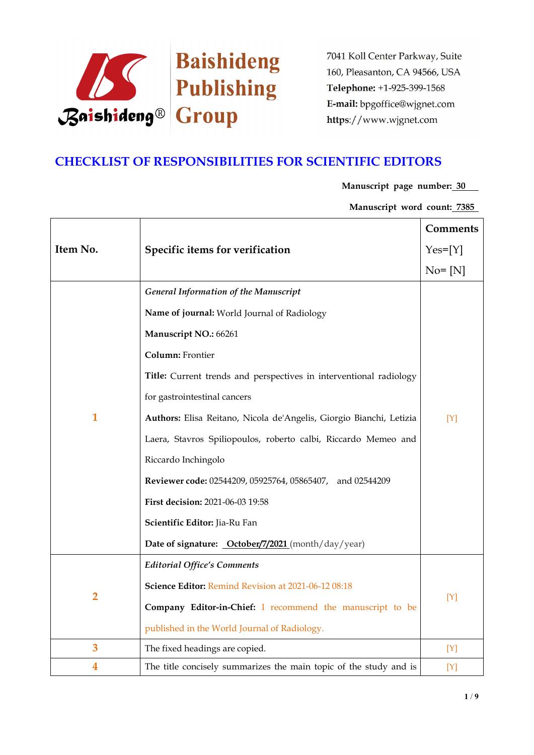

# **CHECKLIST OF RESPONSIBILITIES FOR SCIENTIFIC EDITORS**

**Manuscript page number: 30**

**Manuscript word count: 7385**

|                |                                                                     | <b>Comments</b> |
|----------------|---------------------------------------------------------------------|-----------------|
| Item No.       | Specific items for verification                                     | $Yes=[Y]$       |
|                |                                                                     | $No = [N]$      |
|                | <b>General Information of the Manuscript</b>                        |                 |
|                | Name of journal: World Journal of Radiology                         |                 |
|                | Manuscript NO.: 66261                                               |                 |
|                | Column: Frontier                                                    |                 |
|                | Title: Current trends and perspectives in interventional radiology  |                 |
|                | for gastrointestinal cancers                                        | $[Y]$           |
| $\mathbf{1}$   | Authors: Elisa Reitano, Nicola de'Angelis, Giorgio Bianchi, Letizia |                 |
|                | Laera, Stavros Spiliopoulos, roberto calbi, Riccardo Memeo and      |                 |
|                | Riccardo Inchingolo                                                 |                 |
|                | Reviewer code: 02544209, 05925764, 05865407, and 02544209           |                 |
|                | First decision: 2021-06-03 19:58                                    |                 |
|                | Scientific Editor: Jia-Ru Fan                                       |                 |
|                | Date of signature: <b>October/7/2021</b> (month/day/year)           |                 |
|                | <b>Editorial Office's Comments</b>                                  |                 |
|                | Science Editor: Remind Revision at 2021-06-12 08:18                 |                 |
| $\overline{2}$ | Company Editor-in-Chief: I recommend the manuscript to be           | [Y]             |
|                | published in the World Journal of Radiology.                        |                 |
| 3              | The fixed headings are copied.                                      | $[Y]$           |
| 4              | The title concisely summarizes the main topic of the study and is   | [Y]             |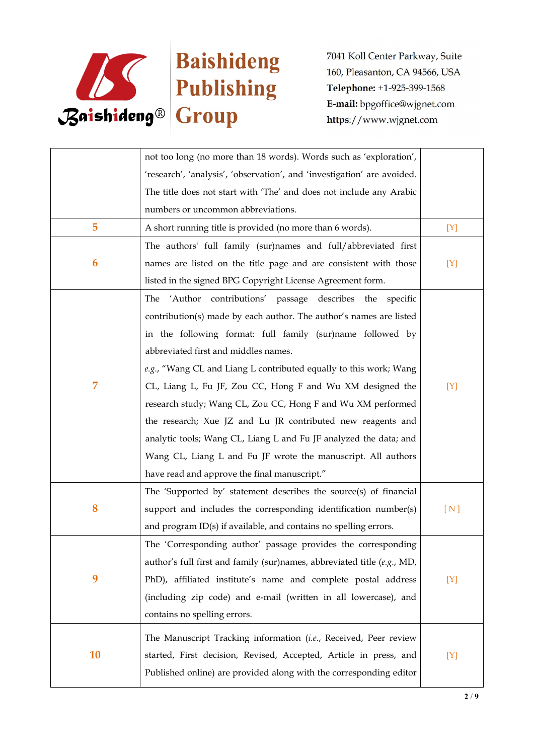

|    | not too long (no more than 18 words). Words such as 'exploration',      |       |
|----|-------------------------------------------------------------------------|-------|
|    | 'research', 'analysis', 'observation', and 'investigation' are avoided. |       |
|    | The title does not start with 'The' and does not include any Arabic     |       |
|    | numbers or uncommon abbreviations.                                      |       |
| 5  | A short running title is provided (no more than 6 words).               | [Y]   |
|    | The authors' full family (sur)names and full/abbreviated first          |       |
| 6  | names are listed on the title page and are consistent with those        | [Y]   |
|    | listed in the signed BPG Copyright License Agreement form.              |       |
|    | The 'Author contributions' passage describes the specific               |       |
|    | contribution(s) made by each author. The author's names are listed      |       |
|    | in the following format: full family (sur)name followed by              |       |
|    | abbreviated first and middles names.                                    |       |
|    | e.g., "Wang CL and Liang L contributed equally to this work; Wang       |       |
| 7  | CL, Liang L, Fu JF, Zou CC, Hong F and Wu XM designed the               | $[Y]$ |
|    | research study; Wang CL, Zou CC, Hong F and Wu XM performed             |       |
|    | the research; Xue JZ and Lu JR contributed new reagents and             |       |
|    | analytic tools; Wang CL, Liang L and Fu JF analyzed the data; and       |       |
|    | Wang CL, Liang L and Fu JF wrote the manuscript. All authors            |       |
|    | have read and approve the final manuscript."                            |       |
|    | The 'Supported by' statement describes the source(s) of financial       |       |
| 8  | support and includes the corresponding identification number(s)         | [N]   |
|    | and program ID(s) if available, and contains no spelling errors.        |       |
|    | The 'Corresponding author' passage provides the corresponding           |       |
|    | author's full first and family (sur)names, abbreviated title (e.g., MD, |       |
| 9  | PhD), affiliated institute's name and complete postal address           | [Y]   |
|    | (including zip code) and e-mail (written in all lowercase), and         |       |
|    | contains no spelling errors.                                            |       |
|    | The Manuscript Tracking information (i.e., Received, Peer review        |       |
| 10 | started, First decision, Revised, Accepted, Article in press, and       | [Y]   |
|    | Published online) are provided along with the corresponding editor      |       |
|    |                                                                         |       |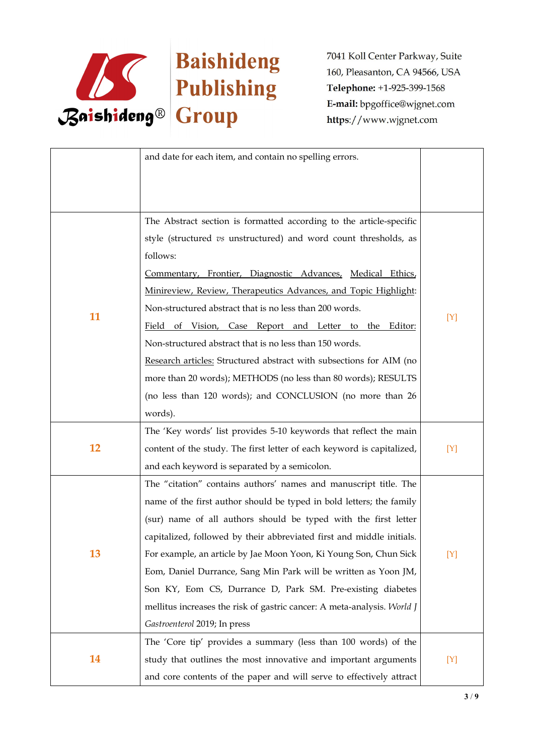

|    | and date for each item, and contain no spelling errors.                 |     |
|----|-------------------------------------------------------------------------|-----|
|    |                                                                         |     |
|    | The Abstract section is formatted according to the article-specific     |     |
|    | style (structured vs unstructured) and word count thresholds, as        |     |
|    | follows:                                                                |     |
|    | Commentary, Frontier, Diagnostic Advances, Medical Ethics,              |     |
|    | Minireview, Review, Therapeutics Advances, and Topic Highlight:         |     |
|    | Non-structured abstract that is no less than 200 words.                 |     |
| 11 | Field of Vision, Case Report and Letter to the Editor:                  | [Y] |
|    | Non-structured abstract that is no less than 150 words.                 |     |
|    | Research articles: Structured abstract with subsections for AIM (no     |     |
|    | more than 20 words); METHODS (no less than 80 words); RESULTS           |     |
|    | (no less than 120 words); and CONCLUSION (no more than 26               |     |
|    | words).                                                                 |     |
|    | The 'Key words' list provides 5-10 keywords that reflect the main       |     |
| 12 | content of the study. The first letter of each keyword is capitalized,  | [Y] |
|    | and each keyword is separated by a semicolon.                           |     |
|    | The "citation" contains authors' names and manuscript title. The        |     |
|    | name of the first author should be typed in bold letters; the family    |     |
|    | (sur) name of all authors should be typed with the first letter         |     |
|    | capitalized, followed by their abbreviated first and middle initials.   |     |
| 13 | For example, an article by Jae Moon Yoon, Ki Young Son, Chun Sick       | [Y] |
|    | Eom, Daniel Durrance, Sang Min Park will be written as Yoon JM,         |     |
|    | Son KY, Eom CS, Durrance D, Park SM. Pre-existing diabetes              |     |
|    | mellitus increases the risk of gastric cancer: A meta-analysis. World J |     |
|    | Gastroenterol 2019; In press                                            |     |
|    | The 'Core tip' provides a summary (less than 100 words) of the          |     |
| 14 | study that outlines the most innovative and important arguments         | [Y] |
|    | and core contents of the paper and will serve to effectively attract    |     |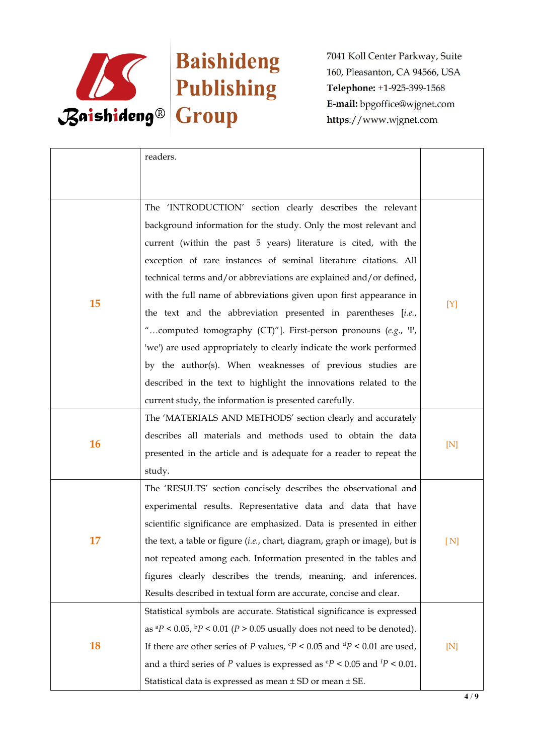

|           | readers.                                                                                       |     |  |
|-----------|------------------------------------------------------------------------------------------------|-----|--|
|           |                                                                                                |     |  |
|           |                                                                                                |     |  |
|           | The 'INTRODUCTION' section clearly describes the relevant                                      |     |  |
|           | background information for the study. Only the most relevant and                               |     |  |
|           | current (within the past 5 years) literature is cited, with the                                |     |  |
|           | exception of rare instances of seminal literature citations. All                               |     |  |
|           | technical terms and/or abbreviations are explained and/or defined,                             |     |  |
| 15        | with the full name of abbreviations given upon first appearance in                             | [Y] |  |
|           | the text and the abbreviation presented in parentheses [i.e.,                                  |     |  |
|           | "computed tomography (CT)"]. First-person pronouns (e.g., T,                                   |     |  |
|           | 'we') are used appropriately to clearly indicate the work performed                            |     |  |
|           | by the author(s). When weaknesses of previous studies are                                      |     |  |
|           | described in the text to highlight the innovations related to the                              |     |  |
|           | current study, the information is presented carefully.                                         |     |  |
|           | The 'MATERIALS AND METHODS' section clearly and accurately                                     |     |  |
|           | describes all materials and methods used to obtain the data                                    |     |  |
| <b>16</b> | presented in the article and is adequate for a reader to repeat the                            | [N] |  |
|           | study.                                                                                         |     |  |
|           | The 'RESULTS' section concisely describes the observational and                                |     |  |
|           | experimental results. Representative data and data that have                                   |     |  |
|           | scientific significance are emphasized. Data is presented in either                            |     |  |
| 17        | the text, a table or figure (i.e., chart, diagram, graph or image), but is                     |     |  |
|           | not repeated among each. Information presented in the tables and                               |     |  |
|           | figures clearly describes the trends, meaning, and inferences.                                 |     |  |
|           | Results described in textual form are accurate, concise and clear.                             |     |  |
|           | Statistical symbols are accurate. Statistical significance is expressed                        |     |  |
|           | as ${}^{a}P$ < 0.05, ${}^{b}P$ < 0.01 (P > 0.05 usually does not need to be denoted).          |     |  |
| <b>18</b> | If there are other series of P values, $\frac{c}{P}$ < 0.05 and $\frac{d}{P}$ < 0.01 are used, | [N] |  |
|           | and a third series of P values is expressed as $\degree P$ < 0.05 and $\degree P$ < 0.01.      |     |  |
|           | Statistical data is expressed as mean ± SD or mean ± SE.                                       |     |  |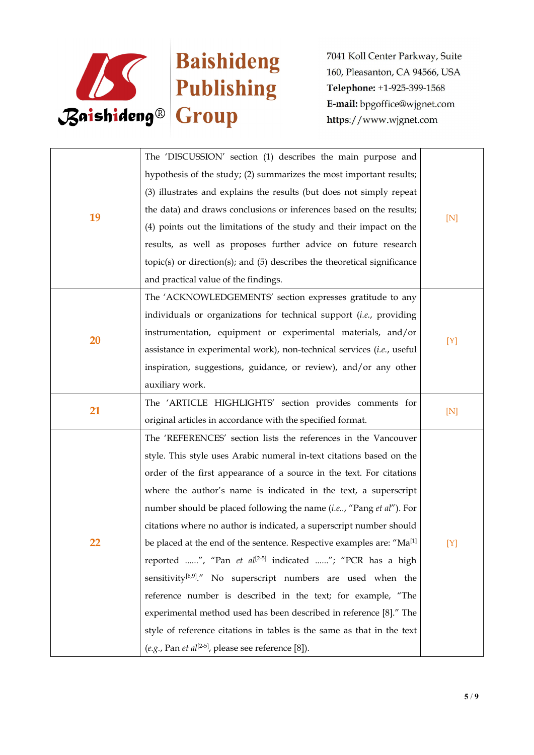

|    | The 'DISCUSSION' section (1) describes the main purpose and                       |     |
|----|-----------------------------------------------------------------------------------|-----|
|    | hypothesis of the study; (2) summarizes the most important results;               |     |
|    | (3) illustrates and explains the results (but does not simply repeat              |     |
| 19 | the data) and draws conclusions or inferences based on the results;<br>[N]        |     |
|    | (4) points out the limitations of the study and their impact on the               |     |
|    | results, as well as proposes further advice on future research                    |     |
|    | $topic(s)$ or direction(s); and $(5)$ describes the theoretical significance      |     |
|    | and practical value of the findings.                                              |     |
|    | The 'ACKNOWLEDGEMENTS' section expresses gratitude to any                         |     |
|    | individuals or organizations for technical support (i.e., providing               |     |
| 20 | instrumentation, equipment or experimental materials, and/or                      |     |
|    | assistance in experimental work), non-technical services (i.e., useful            | [Y] |
|    | inspiration, suggestions, guidance, or review), and/or any other                  |     |
|    | auxiliary work.                                                                   |     |
| 21 | The 'ARTICLE HIGHLIGHTS' section provides comments for                            | [N] |
|    | original articles in accordance with the specified format.                        |     |
|    | The 'REFERENCES' section lists the references in the Vancouver                    |     |
|    | style. This style uses Arabic numeral in-text citations based on the              |     |
|    | order of the first appearance of a source in the text. For citations              |     |
|    | where the author's name is indicated in the text, a superscript                   |     |
|    | number should be placed following the name (i.e, "Pang et al"). For               |     |
|    | citations where no author is indicated, a superscript number should               |     |
| 22 | be placed at the end of the sentence. Respective examples are: "Ma <sup>[1]</sup> | [Y] |
|    | reported ", "Pan et al <sup>[2-5]</sup> indicated "; "PCR has a high              |     |
|    | sensitivity <sup>[6,9]</sup> ." No superscript numbers are used when the          |     |
|    | reference number is described in the text; for example, "The                      |     |
|    | experimental method used has been described in reference [8]." The                |     |
|    | style of reference citations in tables is the same as that in the text            |     |
|    | (e.g., Pan et al <sup>[2-5]</sup> , please see reference [8]).                    |     |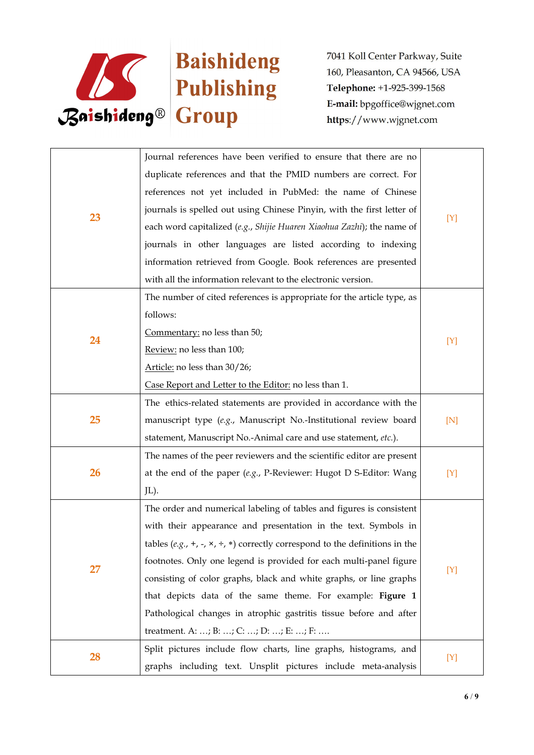

|    | Journal references have been verified to ensure that there are no                               |     |  |
|----|-------------------------------------------------------------------------------------------------|-----|--|
|    | duplicate references and that the PMID numbers are correct. For                                 |     |  |
|    | references not yet included in PubMed: the name of Chinese                                      |     |  |
|    | journals is spelled out using Chinese Pinyin, with the first letter of                          |     |  |
| 23 | each word capitalized (e.g., Shijie Huaren Xiaohua Zazhi); the name of                          | [Y] |  |
|    | journals in other languages are listed according to indexing                                    |     |  |
|    | information retrieved from Google. Book references are presented                                |     |  |
|    | with all the information relevant to the electronic version.                                    |     |  |
|    | The number of cited references is appropriate for the article type, as                          |     |  |
|    | follows:                                                                                        |     |  |
| 24 | Commentary: no less than 50;                                                                    |     |  |
|    | Review: no less than 100;                                                                       | [Y] |  |
|    | Article: no less than 30/26;                                                                    |     |  |
|    | Case Report and Letter to the Editor: no less than 1.                                           |     |  |
|    | The ethics-related statements are provided in accordance with the                               | [N] |  |
| 25 | manuscript type (e.g., Manuscript No.-Institutional review board                                |     |  |
|    | statement, Manuscript No.-Animal care and use statement, etc.).                                 |     |  |
|    | The names of the peer reviewers and the scientific editor are present                           | [Y] |  |
| 26 | at the end of the paper $(e.g., P\text{-}Reviewer: Hugot D S\text{-}Editor: Wang)$              |     |  |
|    | JL).                                                                                            |     |  |
|    | The order and numerical labeling of tables and figures is consistent                            |     |  |
|    | with their appearance and presentation in the text. Symbols in                                  |     |  |
|    | tables (e.g., +, -, $\times$ , $\div$ , $\ast$ ) correctly correspond to the definitions in the |     |  |
| 27 | footnotes. Only one legend is provided for each multi-panel figure                              |     |  |
|    | consisting of color graphs, black and white graphs, or line graphs                              | [Y] |  |
|    | that depicts data of the same theme. For example: Figure 1                                      |     |  |
|    | Pathological changes in atrophic gastritis tissue before and after                              |     |  |
|    | treatment. A: ; B: ; C: ; D: ; E: ; F:                                                          |     |  |
| 28 | Split pictures include flow charts, line graphs, histograms, and                                | [Y] |  |
|    | graphs including text. Unsplit pictures include meta-analysis                                   |     |  |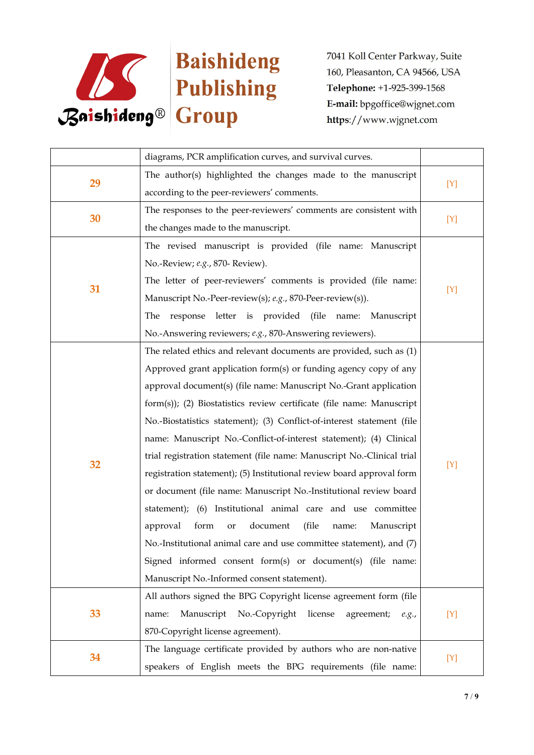

|    | diagrams, PCR amplification curves, and survival curves.               |       |
|----|------------------------------------------------------------------------|-------|
| 29 | The author(s) highlighted the changes made to the manuscript           |       |
|    | according to the peer-reviewers' comments.                             | $[Y]$ |
| 30 | The responses to the peer-reviewers' comments are consistent with      |       |
|    | the changes made to the manuscript.                                    | $[Y]$ |
|    | The revised manuscript is provided (file name: Manuscript              |       |
|    | No.-Review; e.g., 870- Review).                                        |       |
| 31 | The letter of peer-reviewers' comments is provided (file name:         |       |
|    | Manuscript No.-Peer-review(s); e.g., 870-Peer-review(s)).              | [Y]   |
|    | The response letter is provided (file name: Manuscript                 |       |
|    | No.-Answering reviewers; e.g., 870-Answering reviewers).               |       |
|    | The related ethics and relevant documents are provided, such as (1)    |       |
|    | Approved grant application form(s) or funding agency copy of any       |       |
|    | approval document(s) (file name: Manuscript No.-Grant application      |       |
|    | form(s)); (2) Biostatistics review certificate (file name: Manuscript  |       |
|    | No.-Biostatistics statement); (3) Conflict-of-interest statement (file |       |
|    | name: Manuscript No.-Conflict-of-interest statement); (4) Clinical     |       |
|    | trial registration statement (file name: Manuscript No.-Clinical trial |       |
| 32 | registration statement); (5) Institutional review board approval form  | [Y]   |
|    | or document (file name: Manuscript No.-Institutional review board      |       |
|    | statement); (6) Institutional animal care and use committee            |       |
|    | document<br>(file<br>approval<br>form<br>Manuscript<br>name:<br>or     |       |
|    | No.-Institutional animal care and use committee statement), and (7)    |       |
|    | Signed informed consent form(s) or document(s) (file name:             |       |
|    | Manuscript No.-Informed consent statement).                            |       |
|    | All authors signed the BPG Copyright license agreement form (file      |       |
| 33 | Manuscript No.-Copyright license<br>agreement; e.g.,<br>name:          | $[Y]$ |
|    | 870-Copyright license agreement).                                      |       |
| 34 | The language certificate provided by authors who are non-native        |       |
|    | speakers of English meets the BPG requirements (file name:             | $[Y]$ |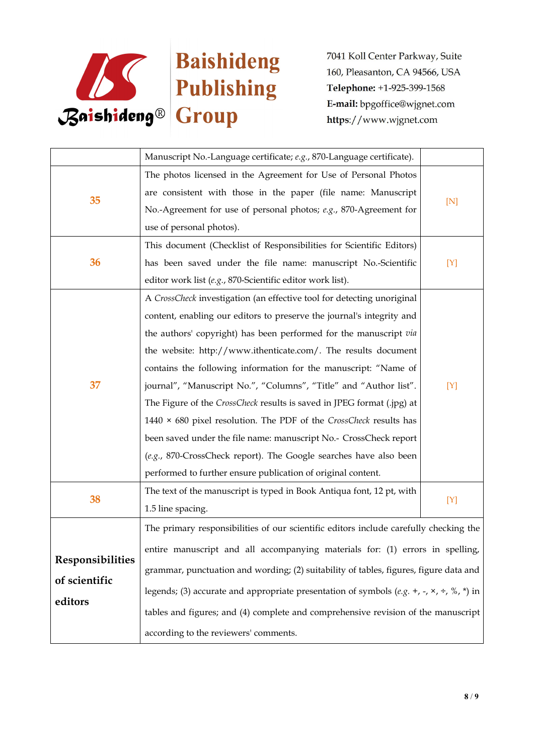

|                         | Manuscript No.-Language certificate; e.g., 870-Language certificate).                                        |     |
|-------------------------|--------------------------------------------------------------------------------------------------------------|-----|
|                         | The photos licensed in the Agreement for Use of Personal Photos                                              | [N] |
|                         | are consistent with those in the paper (file name: Manuscript                                                |     |
| 35                      | No.-Agreement for use of personal photos; e.g., 870-Agreement for                                            |     |
|                         | use of personal photos).                                                                                     |     |
|                         | This document (Checklist of Responsibilities for Scientific Editors)                                         |     |
| 36                      | has been saved under the file name: manuscript No.-Scientific                                                | [Y] |
|                         | editor work list (e.g., 870-Scientific editor work list).                                                    |     |
|                         | A CrossCheck investigation (an effective tool for detecting unoriginal                                       |     |
|                         | content, enabling our editors to preserve the journal's integrity and                                        |     |
|                         | the authors' copyright) has been performed for the manuscript via                                            |     |
|                         | the website: http://www.ithenticate.com/. The results document                                               |     |
|                         | contains the following information for the manuscript: "Name of                                              |     |
| 37                      | journal", "Manuscript No.", "Columns", "Title" and "Author list".                                            | [Y] |
|                         | The Figure of the CrossCheck results is saved in JPEG format (.jpg) at                                       |     |
|                         | 1440 $\times$ 680 pixel resolution. The PDF of the CrossCheck results has                                    |     |
|                         | been saved under the file name: manuscript No.- CrossCheck report                                            |     |
|                         | (e.g., 870-CrossCheck report). The Google searches have also been                                            |     |
|                         | performed to further ensure publication of original content.                                                 |     |
|                         | The text of the manuscript is typed in Book Antiqua font, 12 pt, with                                        |     |
| 38                      | 1.5 line spacing.                                                                                            | [Y] |
|                         | The primary responsibilities of our scientific editors include carefully checking the                        |     |
|                         | entire manuscript and all accompanying materials for: (1) errors in spelling,                                |     |
| <b>Responsibilities</b> | grammar, punctuation and wording; (2) suitability of tables, figures, figure data and                        |     |
| of scientific           | legends; (3) accurate and appropriate presentation of symbols (e.g. +, -, $\times$ , $\div$ , %, $\ast$ ) in |     |
| editors                 |                                                                                                              |     |
|                         | tables and figures; and (4) complete and comprehensive revision of the manuscript                            |     |
|                         | according to the reviewers' comments.                                                                        |     |